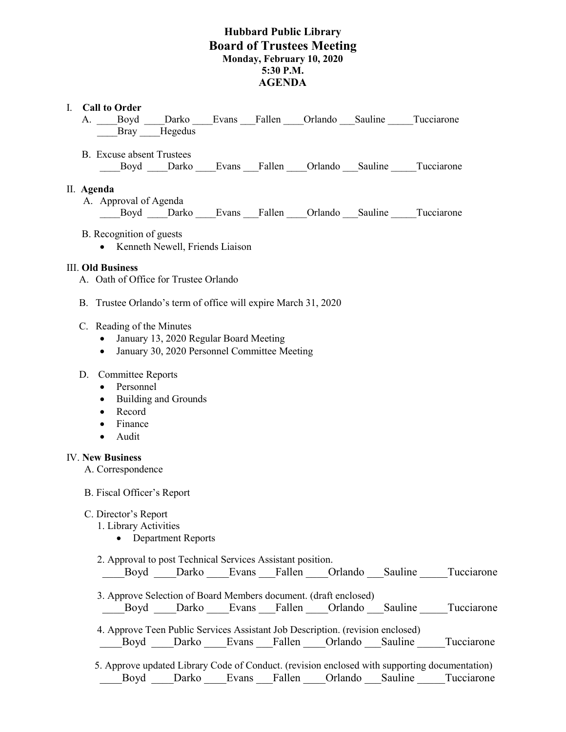## **Hubbard Public Library Board of Trustees Meeting Monday, February 10, 2020 5:30 P.M. AGENDA**

## I. **Call to Order**

- A. Boyd Darko Evans Fallen Orlando Sauline Tucciarone Bray Hegedus
- B. Excuse absent Trustees Boyd Darko Evans Fallen Orlando Sauline Tucciarone

#### II. **Agenda**

A. Approval of Agenda

Boyd Darko Evans Fallen Orlando Sauline Tucciarone

- B. Recognition of guests
	- Kenneth Newell, Friends Liaison

### III. **Old Business**

- A. Oath of Office for Trustee Orlando
- B. Trustee Orlando's term of office will expire March 31, 2020

#### C. Reading of the Minutes

- January 13, 2020 Regular Board Meeting
- January 30, 2020 Personnel Committee Meeting

### D. Committee Reports

- Personnel
- Building and Grounds
- Record
- Finance
- Audit

#### IV. **New Business**

A. Correspondence

### B. Fiscal Officer's Report

### C. Director's Report

- 1. Library Activities
	- Department Reports

2. Approval to post Technical Services Assistant position.

| n | а |  | нсс |
|---|---|--|-----|
|   |   |  |     |

 3. Approve Selection of Board Members document. (draft enclosed) Boyd Darko Evans Fallen Orlando Sauline Tucciarone

 4. Approve Teen Public Services Assistant Job Description. (revision enclosed) Boyd Darko Evans Fallen Orlando Sauline Tucciarone

 5. Approve updated Library Code of Conduct. (revision enclosed with supporting documentation) Boyd Darko Evans Fallen Orlando Sauline Tucciarone